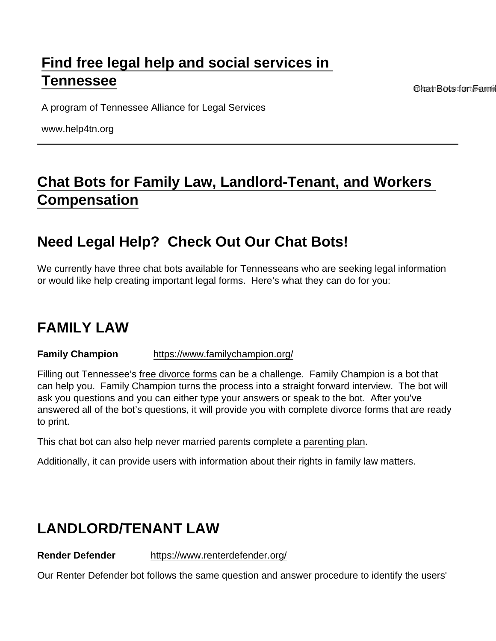# [Find free legal help and social services in](https://www.help4tn.org/)  [Tennessee](https://www.help4tn.org/)

Chat Bots for Family

A program of Tennessee Alliance for Legal Services

www.help4tn.org

## [Chat Bots for Family Law, Landlord-Tenant, and Workers](https://www.help4tn.org/node/1501/chat-bots-family-law-landlord-tenant-and-workers-compensation)  [Compensation](https://www.help4tn.org/node/1501/chat-bots-family-law-landlord-tenant-and-workers-compensation)

### Need Legal Help? Check Out Our Chat Bots!

We currently have three chat bots available for Tennesseans who are seeking legal information or would like help creating important legal forms. Here's what they can do for you:

#### FAMILY LAW

Family Champion <https://www.familychampion.org/>

Filling out Tennessee's free divorce forms can be a challenge. Family Champion is a bot that can help you. Family Champion turns the process into a straight forward interview. The bot will ask you questions and you can either type your answers or speak to the bot. After you've answered all of the bot's questions, it will provide you with complete divorce forms that are ready to print.

This chat bot can also help never married parents complete a parenting plan.

Additionally, it can provide users with information about their rights in family law matters.

#### LANDLORD/TENANT LAW

Render Defender <https://www.renterdefender.org/>

Our Renter Defender bot follows the same question and answer procedure to identify the users'